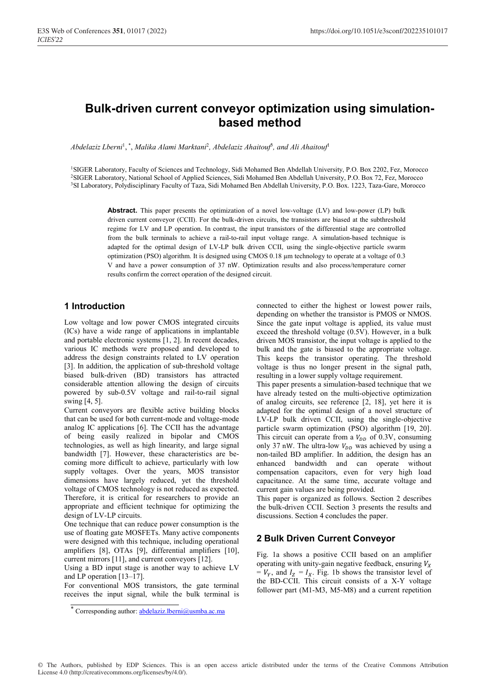# **Bulk-driven current conveyor optimization using simulationbased method**

*Abdelaziz Lberni*1, \*, *Malika Alami Marktani*<sup>2</sup>*, Abdelaziz Ahaitouf*<sup>3</sup>*, and Ali Ahaitouf*<sup>1</sup>

<sup>1</sup>SIGER Laboratory, Faculty of Sciences and Technology, Sidi Mohamed Ben Abdellah University, P.O. Box 2202, Fez, Morocco 2SIGER Laboratory, National School of Applied Sciences, Sidi Mohamed Ben Abdellah University, P.O. Box 72, Fez, Morocco <sup>3</sup>SI Laboratory, Polydisciplinary Faculty of Taza, Sidi Mohamed Ben Abdellah University, P.O. Box. 1223, Taza-Gare, Morocco

> **Abstract.** This paper presents the optimization of a novel low-voltage (LV) and low-power (LP) bulk driven current conveyor (CCII). For the bulk-driven circuits, the transistors are biased at the subthreshold regime for LV and LP operation. In contrast, the input transistors of the differential stage are controlled from the bulk terminals to achieve a rail-to-rail input voltage range. A simulation-based technique is adapted for the optimal design of LV-LP bulk driven CCII, using the single-objective particle swarm optimization (PSO) algorithm. It is designed using CMOS 0.18 µm technology to operate at a voltage of 0.3 V and have a power consumption of 37 nW. Optimization results and also process/temperature corner results confirm the correct operation of the designed circuit.

## **1 Introduction**

Low voltage and low power CMOS integrated circuits (ICs) have a wide range of applications in implantable and portable electronic systems [1, 2]. In recent decades, various IC methods were proposed and developed to address the design constraints related to LV operation [3]. In addition, the application of sub-threshold voltage biased bulk-driven (BD) transistors has attracted considerable attention allowing the design of circuits powered by sub-0.5V voltage and rail-to-rail signal swing [4, 5].

Current conveyors are flexible active building blocks that can be used for both current-mode and voltage-mode analog IC applications [6]. The CCII has the advantage of being easily realized in bipolar and CMOS technologies, as well as high linearity, and large signal bandwidth [7]. However, these characteristics are becoming more difficult to achieve, particularly with low supply voltages. Over the years, MOS transistor dimensions have largely reduced, yet the threshold voltage of CMOS technology is not reduced as expected. Therefore, it is critical for researchers to provide an appropriate and efficient technique for optimizing the design of LV-LP circuits.

One technique that can reduce power consumption is the use of floating gate MOSFETs. Many active components were designed with this technique, including operational amplifiers [8], OTAs [9], differential amplifiers [10], current mirrors [11], and current conveyors [12].

Using a BD input stage is another way to achieve LV and LP operation [13–17].

For conventional MOS transistors, the gate terminal receives the input signal, while the bulk terminal is connected to either the highest or lowest power rails, depending on whether the transistor is PMOS or NMOS. Since the gate input voltage is applied, its value must exceed the threshold voltage (0.5V). However, in a bulk driven MOS transistor, the input voltage is applied to the bulk and the gate is biased to the appropriate voltage. This keeps the transistor operating. The threshold voltage is thus no longer present in the signal path, resulting in a lower supply voltage requirement.

This paper presents a simulation-based technique that we have already tested on the multi-objective optimization of analog circuits, see reference [2, 18], yet here it is adapted for the optimal design of a novel structure of LV-LP bulk driven CCII, using the single-objective particle swarm optimization (PSO) algorithm [19, 20]. This circuit can operate from a  $V_{DD}$  of 0.3V, consuming only 37 nW. The ultra-low  $V_{DD}$  was achieved by using a non-tailed BD amplifier. In addition, the design has an enhanced bandwidth and can operate without compensation capacitors, even for very high load capacitance. At the same time, accurate voltage and current gain values are being provided.

This paper is organized as follows. Section 2 describes the bulk-driven CCII. Section 3 presents the results and discussions. Section 4 concludes the paper.

## **2 Bulk Driven Current Conveyor**

Fig. 1a shows a positive CCII based on an amplifier operating with unity-gain negative feedback, ensuring  $V_x$  $= V_y$ , and  $I_z = I_x$ . Fig. 1b shows the transistor level of the BD-CCII. This circuit consists of a X-Y voltage follower part (M1-M3, M5-M8) and a current repetition

<sup>\*</sup> Corresponding author: abdelaziz.lberni@usmba.ac.ma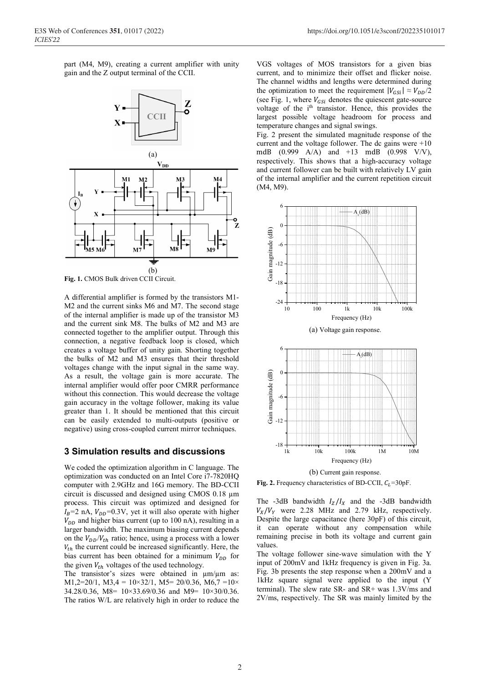part (M4, M9), creating a current amplifier with unity gain and the Z output terminal of the CCII.



**Fig. 1.** CMOS Bulk driven CCII Circuit.

A differential amplifier is formed by the transistors M1- M2 and the current sinks M6 and M7. The second stage of the internal amplifier is made up of the transistor M3 and the current sink M8. The bulks of M2 and M3 are connected together to the amplifier output. Through this connection, a negative feedback loop is closed, which creates a voltage buffer of unity gain. Shorting together the bulks of M2 and M3 ensures that their threshold voltages change with the input signal in the same way. As a result, the voltage gain is more accurate. The internal amplifier would offer poor CMRR performance without this connection. This would decrease the voltage gain accuracy in the voltage follower, making its value greater than 1. It should be mentioned that this circuit can be easily extended to multi-outputs (positive or negative) using cross-coupled current mirror techniques.

#### **3 Simulation results and discussions**

We coded the optimization algorithm in C language. The optimization was conducted on an Intel Core i7-7820HQ computer with 2.9GHz and 16G memory. The BD-CCII circuit is discussed and designed using CMOS 0.18 µm process. This circuit was optimized and designed for  $I_R$ =2 nA,  $V_{DD}$ =0.3V, yet it will also operate with higher  $V_{DD}$  and higher bias current (up to 100 nA), resulting in a larger bandwidth. The maximum biasing current depends on the  $V_{DD}/V_{th}$  ratio; hence, using a process with a lower  $V_{th}$  the current could be increased significantly. Here, the bias current has been obtained for a minimum  $V_{DD}$  for the given  $V_{th}$  voltages of the used technology.

The transistor's sizes were obtained in  $\mu$ m/ $\mu$ m as: M1,2=20/1, M3,4 =  $10 \times 32/1$ , M5= 20/0.36, M6,7 =  $10 \times$ 34.28/0.36, M8= 10×33.69/0.36 and M9= 10×30/0.36. The ratios W/L are relatively high in order to reduce the VGS voltages of MOS transistors for a given bias current, and to minimize their offset and flicker noise. The channel widths and lengths were determined during the optimization to meet the requirement  $|V_{GSi}| \approx V_{DD}/2$ (see Fig. 1, where  $V_{GS}$  denotes the quiescent gate-source voltage of the i<sup>th</sup> transistor. Hence, this provides the largest possible voltage headroom for process and temperature changes and signal swings.

Fig. 2 present the simulated magnitude response of the current and the voltage follower. The dc gains were  $+10$ mdB (0.999 A/A) and +13 mdB (0.998 V/V), respectively. This shows that a high-accuracy voltage and current follower can be built with relatively LV gain of the internal amplifier and the current repetition circuit (M4, M9).



**Fig. 2.** Frequency characteristics of BD-CCII,  $C_l$ =30pF.

The -3dB bandwidth  $I_Z/I_X$  and the -3dB bandwidth  $V_x/V_y$  were 2.28 MHz and 2.79 kHz, respectively. Despite the large capacitance (here 30pF) of this circuit, it can operate without any compensation while remaining precise in both its voltage and current gain values.

The voltage follower sine-wave simulation with the Y input of 200mV and 1kHz frequency is given in Fig. 3a. Fig. 3b presents the step response when a 200mV and a 1kHz square signal were applied to the input (Y terminal). The slew rate SR- and SR+ was 1.3V/ms and 2V/ms, respectively. The SR was mainly limited by the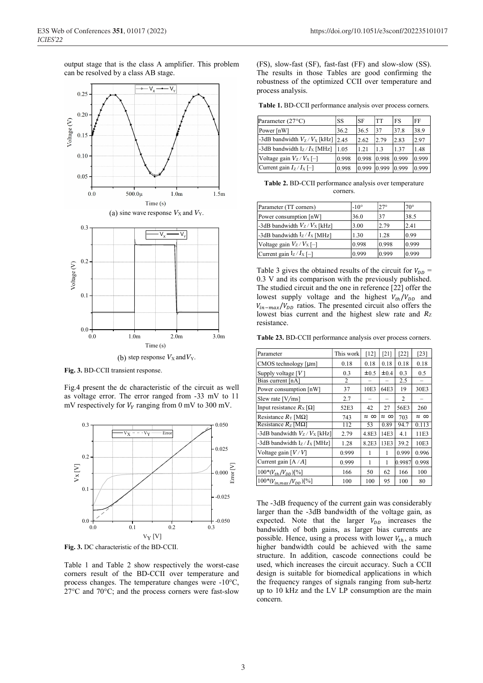output stage that is the class A amplifier. This problem can be resolved by a class AB stage.



**Fig. 3.** BD-CCII transient response.

Fig.4 present the dc characteristic of the circuit as well as voltage error. The error ranged from -33 mV to 11 mV respectively for  $V_v$  ranging from 0 mV to 300 mV.



**Fig. 3.** DC characteristic of the BD-CCII.

Table 1 and Table 2 show respectively the worst-case corners result of the BD-CCII over temperature and process changes. The temperature changes were -10°C, 27°C and 70°C; and the process corners were fast-slow

(FS), slow-fast (SF), fast-fast (FF) and slow-slow (SS). The results in those Tables are good confirming the robustness of the optimized CCII over temperature and process analysis.

**Table 1.** BD-CCII performance analysis over process corners.

| Parameter $(27^{\circ}C)$      | SS    | <b>SF</b> | ltt   | FS    | FF    |
|--------------------------------|-------|-----------|-------|-------|-------|
| Power [nW]                     | 36.2  | 36.5      | 37    | 37.8  | 38.9  |
| -3dB bandwidth $V_Z/V_X$ [kHz] | 2.45  | 2.62      | 2.79  | 2.83  | 2.97  |
| -3dB bandwidth $I_Z/I_X$ [MHz] | 1.05  | 1.21      | 1.3   | 1.37  | 1.48  |
| Voltage gain $V_Z/V_X[-]$      | 0.998 | 0.998     | 0.998 | 0.999 | 0.999 |
| Current gain $I_Z/I_X[-]$      | 0.998 | 0.999     | 0.999 | 0.999 | 0.999 |

**Table 2.** BD-CCII performance analysis over temperature corners.

| Parameter (TT corners)         | $-10^{\circ}$ | $27^\circ$ | $70^{\circ}$   |
|--------------------------------|---------------|------------|----------------|
| Power consumption [nW]         | 36.0          | 37         | 38.5           |
| -3dB bandwidth $V_Z/V_X$ [kHz] | 3.00          | 2.79       | 12.41          |
| -3dB bandwidth $I_Z/I_X$ [MHz] | 1.30          | 1.28       | $ 0.99\rangle$ |
| Voltage gain $V_Z/V_X$ [-]     | 0.998         | 0.998      | 0.999          |
| Current gain $I_Z/I_X[-]$      | 0.999         | 0.999      | 0.999          |

Table 3 gives the obtained results of the circuit for  $V_{DD}$  = 0.3 V and its comparison with the previously published. The studied circuit and the one in reference [22] offer the lowest supply voltage and the highest  $V_{th}/V_{DD}$  and  $V_{in-max}/V_{DD}$  ratios. The presented circuit also offers the lowest bias current and the highest slew rate and  $R_Z$ resistance.

**Table 23.** BD-CCII performance analysis over process corners.

| Parameter                         | This work | $[12]$             | [21]               | $[22]$        | [23]               |
|-----------------------------------|-----------|--------------------|--------------------|---------------|--------------------|
| CMOS technology [µm]              | 0.18      | 0.18               | 0.18               | 0.18          | 0.18               |
| Supply voltage $[V]$              | 0.3       | $\pm 0.5$          | $\pm 0.4$          | 0.3           | 0.5                |
| Bias current [nA]                 | 2         |                    |                    | 2.5           |                    |
| Power consumption [nW]            | 37        | 10E3               | 64E3               | 19            | 30E3               |
| Slew rate $[V/ms]$                | 2.7       |                    |                    | $\mathcal{L}$ |                    |
| Input resistance $R_X[\Omega]$    | 52E3      | 42                 | 27                 | 56E3          | 260                |
| Resistance $R_Y$ [M $\Omega$ ]    | 743       | $\approx$ $\infty$ | $\approx$ $\infty$ | 703           | $\approx$ $\infty$ |
| Resistance $R_Z$ [M $\Omega$ ]    | 112       | 53                 | 0.89               | 94.7          | 0.113              |
| -3dB bandwidth $V_Z/V_X$ [kHz]    | 2.79      | 4.8E3              | 14E3               | 4.1           | 11E3               |
| -3dB bandwidth $I_Z/I_X$ [MHz]    | 1.28      | 8.2E3              | 13E3               | 39.2          | 10E3               |
| Voltage gain $\left[ V/V \right]$ | 0.999     | 1                  | 1                  | 0.999         | 0.996              |
| Current gain $[A/A]$              | 0.999     | 1                  | 1                  | 0.9987        | 0.998              |
| $100*(V_{th}/V_{DD})[%]$          | 166       | 50                 | 62                 | 166           | 100                |
| $100*(V_{in,max}/V_{DD})[%]$      | 100       | 100                | 95                 | 100           | 80                 |

The -3dB frequency of the current gain was considerably larger than the -3dB bandwidth of the voltage gain, as expected. Note that the larger  $V_{DD}$  increases the bandwidth of both gains, as larger bias currents are possible. Hence, using a process with lower  $V_{th}$ , a much higher bandwidth could be achieved with the same structure. In addition, cascode connections could be used, which increases the circuit accuracy. Such a CCII design is suitable for biomedical applications in which the frequency ranges of signals ranging from sub-hertz up to 10 kHz and the LV LP consumption are the main concern.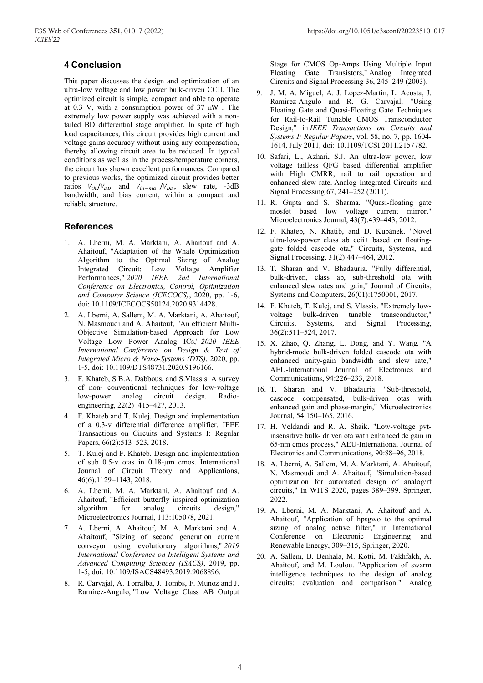### **4 Conclusion**

This paper discusses the design and optimization of an ultra-low voltage and low power bulk-driven CCII. The optimized circuit is simple, compact and able to operate at 0.3 V, with a consumption power of 37 nW . The extremely low power supply was achieved with a nontailed BD differential stage amplifier. In spite of high load capacitances, this circuit provides high current and voltage gains accuracy without using any compensation, thereby allowing circuit area to be reduced. In typical conditions as well as in the process/temperature corners, the circuit has shown excellent performances. Compared to previous works, the optimized circuit provides better ratios  $V_{th}/V_{DD}$  and  $V_{in-ma}/V_{DD}$ , slew rate, -3dB bandwidth, and bias current, within a compact and reliable structure.

#### **References**

- 1. A. Lberni, M. A. Marktani, A. Ahaitouf and A. Ahaitouf, "Adaptation of the Whale Optimization Algorithm to the Optimal Sizing of Analog Integrated Circuit: Low Voltage Amplifier Performances," *2020 IEEE 2nd International Conference on Electronics, Control, Optimization and Computer Science (ICECOCS)*, 2020, pp. 1-6, doi: 10.1109/ICECOCS50124.2020.9314428.
- 2. A. Lberni, A. Sallem, M. A. Marktani, A. Ahaitouf, N. Masmoudi and A. Ahaitouf, "An efficient Multi-Objective Simulation-based Approach for Low Voltage Low Power Analog ICs," *2020 IEEE International Conference on Design & Test of Integrated Micro & Nano-Systems (DTS)*, 2020, pp. 1-5, doi: 10.1109/DTS48731.2020.9196166.
- 3. F. Khateb, S.B.A. Dabbous, and S.Vlassis. A survey of non- conventional techniques for low-voltage low-power analog circuit design. Radioengineering, 22(2) :415–427, 2013.
- 4. F. Khateb and T. Kulej. Design and implementation of a 0.3-v differential difference amplifier. IEEE Transactions on Circuits and Systems I: Regular Papers, 66(2):513–523, 2018.
- 5. T. Kulej and F. Khateb. Design and implementation of sub 0.5-v otas in 0.18-µm cmos. International Journal of Circuit Theory and Applications, 46(6):1129–1143, 2018.
- 6. A. Lberni, M. A. Marktani, A. Ahaitouf and A. Ahaitouf, "Efficient butterfly inspired optimization algorithm for analog circuits design," Microelectronics Journal, 113:105078, 2021.
- 7. A. Lberni, A. Ahaitouf, M. A. Marktani and A. Ahaitouf, "Sizing of second generation current conveyor using evolutionary algorithms," *2019 International Conference on Intelligent Systems and Advanced Computing Sciences (ISACS)*, 2019, pp. 1-5, doi: 10.1109/ISACS48493.2019.9068896.
- 8. R. Carvajal, A. Torralba, J. Tombs, F. Munoz and J. Ramírez-Angulo, "Low Voltage Class AB Output

Stage for CMOS Op-Amps Using Multiple Input Floating Gate Transistors," Analog Integrated Circuits and Signal Processing 36, 245–249 (2003).

- 9. J. M. A. Miguel, A. J. Lopez-Martin, L. Acosta, J. Ramirez-Angulo and R. G. Carvajal, "Using Floating Gate and Quasi-Floating Gate Techniques for Rail-to-Rail Tunable CMOS Transconductor Design," in *IEEE Transactions on Circuits and Systems I: Regular Papers*, vol. 58, no. 7, pp. 1604- 1614, July 2011, doi: 10.1109/TCSI.2011.2157782.
- 10. Safari, L., Azhari, S.J. An ultra-low power, low voltage tailless QFG based differential amplifier with High CMRR, rail to rail operation and enhanced slew rate. Analog Integrated Circuits and Signal Processing 67, 241–252 (2011).
- 11. R. Gupta and S. Sharma. "Quasi-floating gate mosfet based low voltage current mirror," Microelectronics Journal, 43(7):439–443, 2012.
- 12. F. Khateb, N. Khatib, and D. Kubánek. "Novel ultra-low-power class ab ccii+ based on floatinggate folded cascode ota," Circuits, Systems, and Signal Processing, 31(2):447–464, 2012.
- 13. T. Sharan and V. Bhadauria. "Fully differential, bulk-driven, class ab, sub-threshold ota with enhanced slew rates and gain," Journal of Circuits, Systems and Computers, 26(01):1750001, 2017.
- 14. F. Khateb, T. Kulej, and S. Vlassis. "Extremely lowvoltage bulk-driven tunable transconductor," Circuits, Systems, and Signal Processing, 36(2):511–524, 2017.
- 15. X. Zhao, Q. Zhang, L. Dong, and Y. Wang. "A hybrid-mode bulk-driven folded cascode ota with enhanced unity-gain bandwidth and slew rate," AEU-International Journal of Electronics and Communications, 94:226–233, 2018.
- 16. T. Sharan and V. Bhadauria. "Sub-threshold, cascode compensated, bulk-driven otas with enhanced gain and phase-margin," Microelectronics Journal, 54:150–165, 2016.
- 17. H. Veldandi and R. A. Shaik. "Low-voltage pvtinsensitive bulk- driven ota with enhanced dc gain in 65-nm cmos process," AEU-International Journal of Electronics and Communications, 90:88–96, 2018.
- 18. A. Lberni, A. Sallem, M. A. Marktani, A. Ahaitouf, N. Masmoudi and A. Ahaitouf, "Simulation-based optimization for automated design of analog/rf circuits," In WITS 2020, pages 389–399. Springer, 2022.
- 19. A. Lberni, M. A. Marktani, A. Ahaitouf and A. Ahaitouf, "Application of hpsgwo to the optimal sizing of analog active filter," in International Conference on Electronic Engineering and Renewable Energy, 309–315, Springer, 2020.
- 20. A. Sallem, B. Benhala, M. Kotti, M. Fakhfakh, A. Ahaitouf, and M. Loulou. "Application of swarm intelligence techniques to the design of analog circuits: evaluation and comparison." Analog